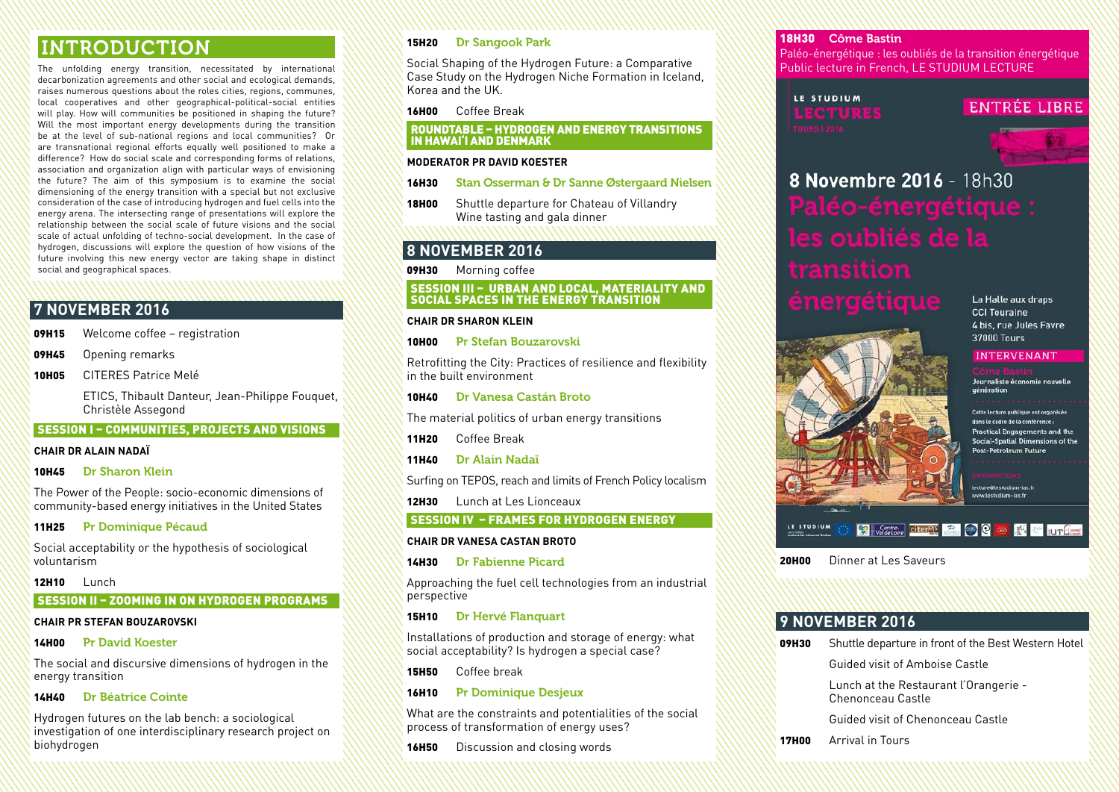### INTRODUCTION

The unfolding energy transition, necessitated by international decarbonization agreements and other social and ecological demands, raises numerous questions about the roles cities, regions, communes, local cooperatives and other geographical-political-social entities will play. How will communities be positioned in shaping the future? Will the most important energy developments during the transition be at the level of sub-national regions and local communities? Or are transnational regional efforts equally well positioned to make a difference? How do social scale and corresponding forms of relations, association and organization align with particular ways of envisioning the future? The aim of this symposium is to examine the social dimensioning of the energy transition with a special but not exclusive consideration of the case of introducing hydrogen and fuel cells into the energy arena. The intersecting range of presentations will explore the relationship between the social scale of future visions and the social scale of actual unfolding of techno-social development. In the case of hydrogen, discussions will explore the question of how visions of the future involving this new energy vector are taking shape in distinct social and geographical spaces.

#### **7 NOVEMBER 2016**

| 09H15 | Welcome coffee - registration |
|-------|-------------------------------|
|-------|-------------------------------|

**09H45** Opening remarks

10H05 CITERES Patrice Melé

ETICS, Thibault Danteur, Jean-Philippe Fouquet, Christèle Assegond

#### SESSION I – COMMUNITIES, PROJECTS AND VISIONS

#### **CHAIR DR ALAIN NADAÏ**

#### 10H45 Dr Sharon Klein

The Power of the People: socio-economic dimensions of community-based energy initiatives in the United States

#### 11H25 Pr Dominique Pécaud

Social acceptability or the hypothesis of sociological voluntarism

#### 12H10 Lunch

#### SESSION II – ZOOMING IN ON HYDROGEN PROGRAMS

#### **CHAIR PR STEFAN BOUZAROVSKI**

#### 14H00 Pr David Koester

The social and discursive dimensions of hydrogen in the energy transition

#### 14H40 Dr Béatrice Cointe

Hydrogen futures on the lab bench: a sociological investigation of one interdisciplinary research project on biohydrogen

#### 15H20 Dr Sangook Park

Social Shaping of the Hydrogen Future: a Comparative Case Study on the Hydrogen Niche Formation in Iceland, Korea and the UK.

16H00 Coffee Break

#### ROUNDTABLE – HYDROGEN AND ENERGY TRANSITIONS IN HAWAI'I AND DENMARK

#### **MODERATOR PR DAVID KOESTER**

- 16H30 Stan Osserman & Dr Sanne Østergaard Nielsen
- **18H00** Shuttle departure for Chateau of Villandry Wine tasting and gala dinner

#### **8 NOVEMBER 2016**

**09H30** Morning coffee

#### SESSION III – URBAN AND LOCAL, MATERIALITY AND SOCIAL SPACES IN THE ENERGY TRANSITION

#### **CHAIR DR SHARON KLEIN**

10H00 Pr Stefan Bouzarovski

Retrofitting the City: Practices of resilience and flexibility in the built environment

10H40 Dr Vanesa Castán Broto

The material politics of urban energy transitions

11H20 Coffee Break

- 11H40 Dr Alain Nadaï
- Surfing on TEPOS, reach and limits of French Policy localism

12H30 Lunch at Les Lionceaux

SESSION IV – FRAMES FOR HYDROGEN ENERGY

#### **CHAIR DR VANESA CASTAN BROTO**

14H30 Dr Fabienne Picard

Approaching the fuel cell technologies from an industrial perspective

#### 15H10 Dr Hervé Flanquart

Installations of production and storage of energy: what social acceptability? Is hydrogen a special case?

15H50 Coffee break

#### 16H10 Pr Dominique Desjeux

What are the constraints and potentialities of the social process of transformation of energy uses?

**16H50** Discussion and closing words

#### 18H30 Côme Bastin

Paléo-énergétique : les oubliés de la transition énergétique Public lecture in French, LE STUDIUM LECTURE

#### LE STUDIUM LECTURES

#### **ENTRÉE LIBRE**

# 8 Novembre 2016 - 18h30

## aneroetique

La Halle aux draps **CCI Touraine** 4 bis. rue Jules Favre **37000 Tours** 

#### **INTERVENANT**

Journaliste économie nouvelle génération

Cette lecture publique est organisée dans le cadre de la conférence Practical Engagements and the Social-Spatial Dimensions of the Post-Petroleum Future

lecture@lestudium-ias.fr www.lestudium-jas.fr

#### **Y Watcher diterret 2 CD C case EN ALL LUTERED**

20H00 Dinner at Les Saveurs

#### **9 NOVEMBER 2016**